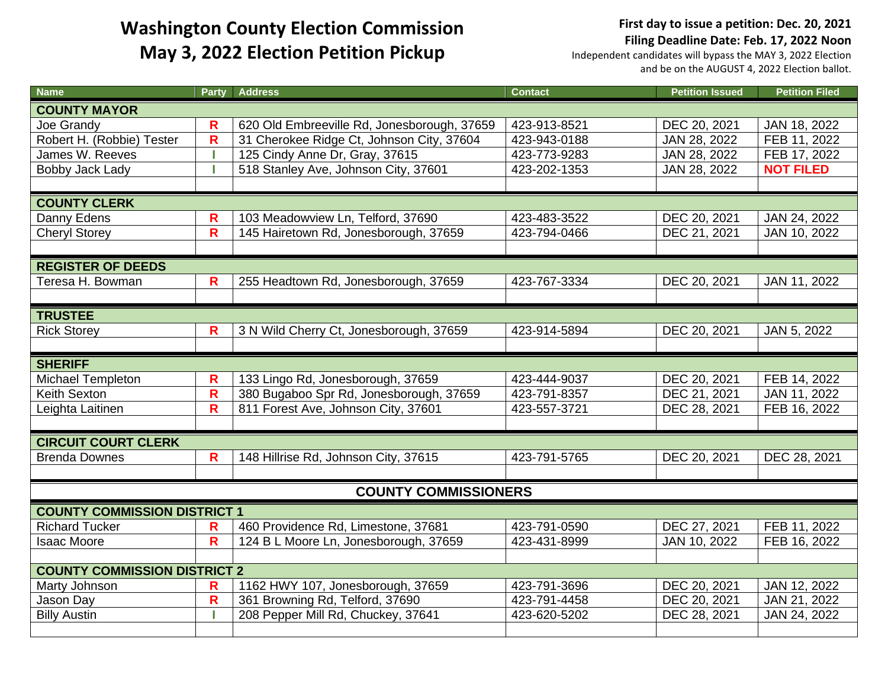**First day to issue a petition: Dec. 20, 2021 Filing Deadline Date: Feb. 17, 2022 Noon**

| <b>Name</b>                         | <b>Party</b>            | <b>Address</b>                              | <b>Contact</b> | <b>Petition Issued</b> | <b>Petition Filed</b> |  |  |
|-------------------------------------|-------------------------|---------------------------------------------|----------------|------------------------|-----------------------|--|--|
| <b>COUNTY MAYOR</b>                 |                         |                                             |                |                        |                       |  |  |
| Joe Grandy                          | R                       | 620 Old Embreeville Rd, Jonesborough, 37659 | 423-913-8521   | DEC 20, 2021           | JAN 18, 2022          |  |  |
| Robert H. (Robbie) Tester           | $\overline{\mathsf{R}}$ | 31 Cherokee Ridge Ct, Johnson City, 37604   | 423-943-0188   | JAN 28, 2022           | FEB 11, 2022          |  |  |
| James W. Reeves                     |                         | 125 Cindy Anne Dr, Gray, 37615              | 423-773-9283   | JAN 28, 2022           | FEB 17, 2022          |  |  |
| Bobby Jack Lady                     |                         | 518 Stanley Ave, Johnson City, 37601        | 423-202-1353   | JAN 28, 2022           | <b>NOT FILED</b>      |  |  |
|                                     |                         |                                             |                |                        |                       |  |  |
| <b>COUNTY CLERK</b>                 |                         |                                             |                |                        |                       |  |  |
| Danny Edens                         | $\mathsf{R}$            | 103 Meadowview Ln, Telford, 37690           | 423-483-3522   | DEC 20, 2021           | JAN 24, 2022          |  |  |
| <b>Cheryl Storey</b>                | $\overline{\mathsf{R}}$ | 145 Hairetown Rd, Jonesborough, 37659       | 423-794-0466   | DEC 21, 2021           | JAN 10, 2022          |  |  |
|                                     |                         |                                             |                |                        |                       |  |  |
| <b>REGISTER OF DEEDS</b>            |                         |                                             |                |                        |                       |  |  |
| Teresa H. Bowman                    | $\mathsf{R}$            | 255 Headtown Rd, Jonesborough, 37659        | 423-767-3334   | DEC 20, 2021           | JAN 11, 2022          |  |  |
|                                     |                         |                                             |                |                        |                       |  |  |
| <b>TRUSTEE</b>                      |                         |                                             |                |                        |                       |  |  |
| <b>Rick Storey</b>                  | $\overline{\mathsf{R}}$ | 3 N Wild Cherry Ct, Jonesborough, 37659     | 423-914-5894   | DEC 20, 2021           | JAN 5, 2022           |  |  |
|                                     |                         |                                             |                |                        |                       |  |  |
| <b>SHERIFF</b>                      |                         |                                             |                |                        |                       |  |  |
| <b>Michael Templeton</b>            | R                       | 133 Lingo Rd, Jonesborough, 37659           | 423-444-9037   | DEC 20, 2021           | FEB 14, 2022          |  |  |
| Keith Sexton                        | $\mathsf{R}$            | 380 Bugaboo Spr Rd, Jonesborough, 37659     | 423-791-8357   | DEC 21, 2021           | JAN 11, 2022          |  |  |
| Leighta Laitinen                    | $\mathsf{R}$            | 811 Forest Ave, Johnson City, 37601         | 423-557-3721   | DEC 28, 2021           | FEB 16, 2022          |  |  |
|                                     |                         |                                             |                |                        |                       |  |  |
| <b>CIRCUIT COURT CLERK</b>          |                         |                                             |                |                        |                       |  |  |
| <b>Brenda Downes</b>                | R                       | 148 Hillrise Rd, Johnson City, 37615        | 423-791-5765   | DEC 20, 2021           | DEC 28, 2021          |  |  |
|                                     |                         |                                             |                |                        |                       |  |  |
| <b>COUNTY COMMISSIONERS</b>         |                         |                                             |                |                        |                       |  |  |
| <b>COUNTY COMMISSION DISTRICT 1</b> |                         |                                             |                |                        |                       |  |  |
| <b>Richard Tucker</b>               | R                       | 460 Providence Rd, Limestone, 37681         | 423-791-0590   | DEC 27, 2021           | FEB 11, 2022          |  |  |
| <b>Isaac Moore</b>                  | $\overline{\mathsf{R}}$ | 124 B L Moore Ln, Jonesborough, 37659       | 423-431-8999   | JAN 10, 2022           | FEB 16, 2022          |  |  |
|                                     |                         |                                             |                |                        |                       |  |  |
| <b>COUNTY COMMISSION DISTRICT 2</b> |                         |                                             |                |                        |                       |  |  |
| Marty Johnson                       | R                       | 1162 HWY 107, Jonesborough, 37659           | 423-791-3696   | DEC 20, 2021           | JAN 12, 2022          |  |  |
| Jason Day                           | $\mathsf{R}$            | 361 Browning Rd, Telford, 37690             | 423-791-4458   | DEC 20, 2021           | JAN 21, 2022          |  |  |
| <b>Billy Austin</b>                 |                         | 208 Pepper Mill Rd, Chuckey, 37641          | 423-620-5202   | DEC 28, 2021           | JAN 24, 2022          |  |  |
|                                     |                         |                                             |                |                        |                       |  |  |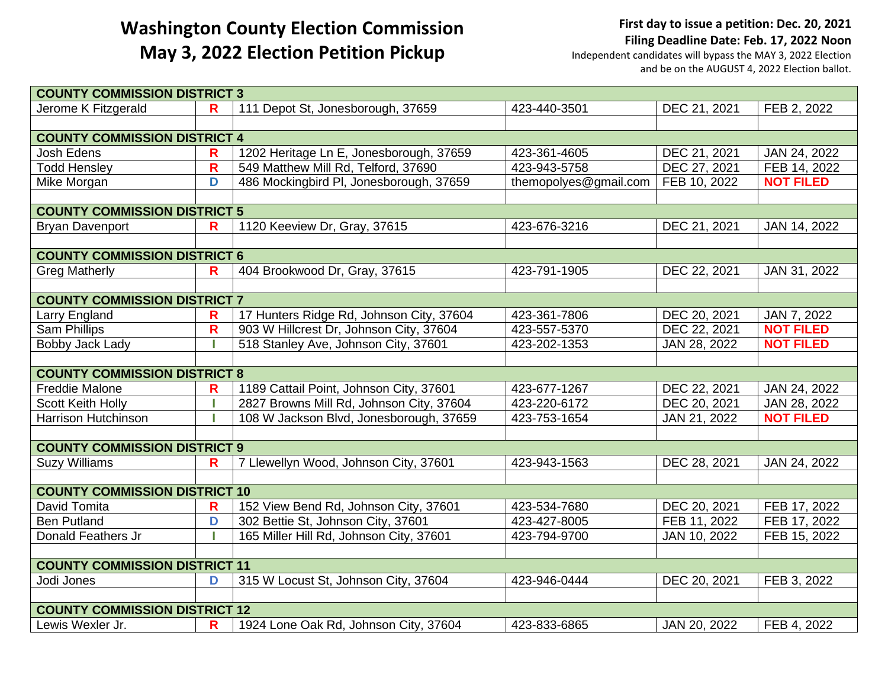**First day to issue a petition: Dec. 20, 2021 Filing Deadline Date: Feb. 17, 2022 Noon**

| <b>COUNTY COMMISSION DISTRICT 3</b>  |              |                                          |                       |              |                  |  |  |
|--------------------------------------|--------------|------------------------------------------|-----------------------|--------------|------------------|--|--|
| Jerome K Fitzgerald                  | R            | 111 Depot St, Jonesborough, 37659        | 423-440-3501          | DEC 21, 2021 | FEB 2, 2022      |  |  |
|                                      |              |                                          |                       |              |                  |  |  |
| <b>COUNTY COMMISSION DISTRICT 4</b>  |              |                                          |                       |              |                  |  |  |
| <b>Josh Edens</b>                    | R            | 1202 Heritage Ln E, Jonesborough, 37659  | 423-361-4605          | DEC 21, 2021 | JAN 24, 2022     |  |  |
| <b>Todd Hensley</b>                  | $\mathsf{R}$ | 549 Matthew Mill Rd, Telford, 37690      | 423-943-5758          | DEC 27, 2021 | FEB 14, 2022     |  |  |
| Mike Morgan                          | D            | 486 Mockingbird PI, Jonesborough, 37659  | themopolyes@gmail.com | FEB 10, 2022 | <b>NOT FILED</b> |  |  |
|                                      |              |                                          |                       |              |                  |  |  |
| <b>COUNTY COMMISSION DISTRICT 5</b>  |              |                                          |                       |              |                  |  |  |
| <b>Bryan Davenport</b>               | R            | 1120 Keeview Dr, Gray, 37615             | 423-676-3216          | DEC 21, 2021 | JAN 14, 2022     |  |  |
|                                      |              |                                          |                       |              |                  |  |  |
| <b>COUNTY COMMISSION DISTRICT 6</b>  |              |                                          |                       |              |                  |  |  |
| <b>Greg Matherly</b>                 | R            | 404 Brookwood Dr, Gray, 37615            | 423-791-1905          | DEC 22, 2021 | JAN 31, 2022     |  |  |
|                                      |              |                                          |                       |              |                  |  |  |
| <b>COUNTY COMMISSION DISTRICT 7</b>  |              |                                          |                       |              |                  |  |  |
| Larry England                        | R            | 17 Hunters Ridge Rd, Johnson City, 37604 | 423-361-7806          | DEC 20, 2021 | JAN 7, 2022      |  |  |
| <b>Sam Phillips</b>                  | $\mathsf{R}$ | 903 W Hillcrest Dr, Johnson City, 37604  | 423-557-5370          | DEC 22, 2021 | <b>NOT FILED</b> |  |  |
| Bobby Jack Lady                      |              | 518 Stanley Ave, Johnson City, 37601     | 423-202-1353          | JAN 28, 2022 | <b>NOT FILED</b> |  |  |
|                                      |              |                                          |                       |              |                  |  |  |
| <b>COUNTY COMMISSION DISTRICT 8</b>  |              |                                          |                       |              |                  |  |  |
| <b>Freddie Malone</b>                | R            | 1189 Cattail Point, Johnson City, 37601  | 423-677-1267          | DEC 22, 2021 | JAN 24, 2022     |  |  |
| <b>Scott Keith Holly</b>             |              | 2827 Browns Mill Rd, Johnson City, 37604 | 423-220-6172          | DEC 20, 2021 | JAN 28, 2022     |  |  |
| <b>Harrison Hutchinson</b>           |              | 108 W Jackson Blvd, Jonesborough, 37659  | 423-753-1654          | JAN 21, 2022 | <b>NOT FILED</b> |  |  |
|                                      |              |                                          |                       |              |                  |  |  |
| <b>COUNTY COMMISSION DISTRICT 9</b>  |              |                                          |                       |              |                  |  |  |
| <b>Suzy Williams</b>                 | R            | 7 Llewellyn Wood, Johnson City, 37601    | 423-943-1563          | DEC 28, 2021 | JAN 24, 2022     |  |  |
|                                      |              |                                          |                       |              |                  |  |  |
| <b>COUNTY COMMISSION DISTRICT 10</b> |              |                                          |                       |              |                  |  |  |
| David Tomita                         | R            | 152 View Bend Rd, Johnson City, 37601    | 423-534-7680          | DEC 20, 2021 | FEB 17, 2022     |  |  |
| <b>Ben Putland</b>                   | D            | 302 Bettie St, Johnson City, 37601       | 423-427-8005          | FEB 11, 2022 | FEB 17, 2022     |  |  |
| Donald Feathers Jr                   |              | 165 Miller Hill Rd, Johnson City, 37601  | 423-794-9700          | JAN 10, 2022 | FEB 15, 2022     |  |  |
|                                      |              |                                          |                       |              |                  |  |  |
| <b>COUNTY COMMISSION DISTRICT 11</b> |              |                                          |                       |              |                  |  |  |
| Jodi Jones                           | D            | 315 W Locust St, Johnson City, 37604     | 423-946-0444          | DEC 20, 2021 | FEB 3, 2022      |  |  |
|                                      |              |                                          |                       |              |                  |  |  |
| <b>COUNTY COMMISSION DISTRICT 12</b> |              |                                          |                       |              |                  |  |  |
| Lewis Wexler Jr.                     | R            | 1924 Lone Oak Rd, Johnson City, 37604    | 423-833-6865          | JAN 20, 2022 | FEB 4, 2022      |  |  |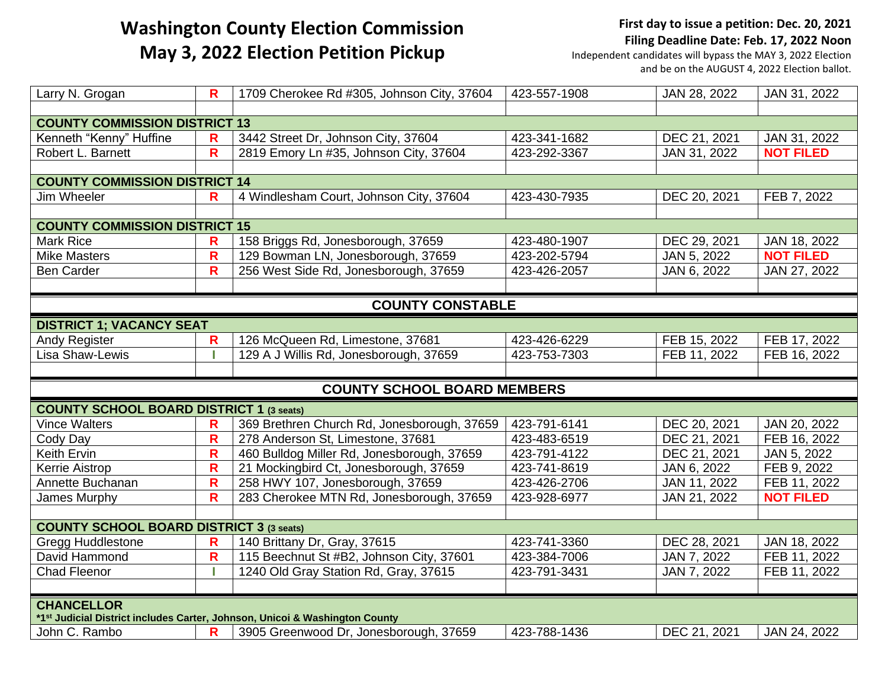#### **First day to issue a petition: Dec. 20, 2021 Filing Deadline Date: Feb. 17, 2022 Noon**

| Larry N. Grogan                                                             | $\mathbf R$             | 1709 Cherokee Rd #305, Johnson City, 37604  | 423-557-1908 | JAN 28, 2022 | JAN 31, 2022     |  |
|-----------------------------------------------------------------------------|-------------------------|---------------------------------------------|--------------|--------------|------------------|--|
|                                                                             |                         |                                             |              |              |                  |  |
| <b>COUNTY COMMISSION DISTRICT 13</b>                                        |                         |                                             |              |              |                  |  |
| Kenneth "Kenny" Huffine                                                     | R                       | 3442 Street Dr, Johnson City, 37604         | 423-341-1682 | DEC 21, 2021 | JAN 31, 2022     |  |
| Robert L. Barnett                                                           | $\overline{\mathsf{R}}$ | 2819 Emory Ln #35, Johnson City, 37604      | 423-292-3367 | JAN 31, 2022 | <b>NOT FILED</b> |  |
|                                                                             |                         |                                             |              |              |                  |  |
| <b>COUNTY COMMISSION DISTRICT 14</b>                                        |                         |                                             |              |              |                  |  |
| Jim Wheeler                                                                 | R                       | 4 Windlesham Court, Johnson City, 37604     | 423-430-7935 | DEC 20, 2021 | FEB 7, 2022      |  |
|                                                                             |                         |                                             |              |              |                  |  |
| <b>COUNTY COMMISSION DISTRICT 15</b>                                        |                         |                                             |              |              |                  |  |
| <b>Mark Rice</b>                                                            | R                       | 158 Briggs Rd, Jonesborough, 37659          | 423-480-1907 | DEC 29, 2021 | JAN 18, 2022     |  |
| <b>Mike Masters</b>                                                         | $\mathsf{R}$            | 129 Bowman LN, Jonesborough, 37659          | 423-202-5794 | JAN 5, 2022  | <b>NOT FILED</b> |  |
| <b>Ben Carder</b>                                                           | $\mathsf{R}$            | 256 West Side Rd, Jonesborough, 37659       | 423-426-2057 | JAN 6, 2022  | JAN 27, 2022     |  |
|                                                                             |                         |                                             |              |              |                  |  |
|                                                                             |                         | <b>COUNTY CONSTABLE</b>                     |              |              |                  |  |
| <b>DISTRICT 1; VACANCY SEAT</b>                                             |                         |                                             |              |              |                  |  |
| Andy Register                                                               | $\mathbf R$             | 126 McQueen Rd, Limestone, 37681            | 423-426-6229 | FEB 15, 2022 | FEB 17, 2022     |  |
| Lisa Shaw-Lewis                                                             |                         | 129 A J Willis Rd, Jonesborough, 37659      | 423-753-7303 | FEB 11, 2022 | FEB 16, 2022     |  |
|                                                                             |                         |                                             |              |              |                  |  |
|                                                                             |                         | <b>COUNTY SCHOOL BOARD MEMBERS</b>          |              |              |                  |  |
| <b>COUNTY SCHOOL BOARD DISTRICT 1 (3 seats)</b>                             |                         |                                             |              |              |                  |  |
| <b>Vince Walters</b>                                                        | $\mathbf R$             | 369 Brethren Church Rd, Jonesborough, 37659 | 423-791-6141 | DEC 20, 2021 | JAN 20, 2022     |  |
| Cody Day                                                                    | $\mathbf R$             | 278 Anderson St, Limestone, 37681           | 423-483-6519 | DEC 21, 2021 | FEB 16, 2022     |  |
| Keith Ervin                                                                 | R                       | 460 Bulldog Miller Rd, Jonesborough, 37659  | 423-791-4122 | DEC 21, 2021 | JAN 5, 2022      |  |
| <b>Kerrie Aistrop</b>                                                       | R                       | 21 Mockingbird Ct, Jonesborough, 37659      | 423-741-8619 | JAN 6, 2022  | FEB 9, 2022      |  |
| Annette Buchanan                                                            | $\mathsf{R}$            | 258 HWY 107, Jonesborough, 37659            | 423-426-2706 | JAN 11, 2022 | FEB 11, 2022     |  |
| James Murphy                                                                | $\mathsf{R}$            | 283 Cherokee MTN Rd, Jonesborough, 37659    | 423-928-6977 | JAN 21, 2022 | <b>NOT FILED</b> |  |
|                                                                             |                         |                                             |              |              |                  |  |
| <b>COUNTY SCHOOL BOARD DISTRICT 3 (3 seats)</b>                             |                         |                                             |              |              |                  |  |
| <b>Gregg Huddlestone</b>                                                    | $\mathsf{R}$            | 140 Brittany Dr, Gray, 37615                | 423-741-3360 | DEC 28, 2021 | JAN 18, 2022     |  |
| David Hammond                                                               | $\mathbf R$             | 115 Beechnut St #B2, Johnson City, 37601    | 423-384-7006 | JAN 7, 2022  | FEB 11, 2022     |  |
| <b>Chad Fleenor</b>                                                         |                         | 1240 Old Gray Station Rd, Gray, 37615       | 423-791-3431 | JAN 7, 2022  | FEB 11, 2022     |  |
|                                                                             |                         |                                             |              |              |                  |  |
| <b>CHANCELLOR</b>                                                           |                         |                                             |              |              |                  |  |
| *1st Judicial District includes Carter, Johnson, Unicoi & Washington County |                         |                                             |              |              |                  |  |
| John C. Rambo                                                               | R                       | 3905 Greenwood Dr, Jonesborough, 37659      | 423-788-1436 | DEC 21, 2021 | JAN 24, 2022     |  |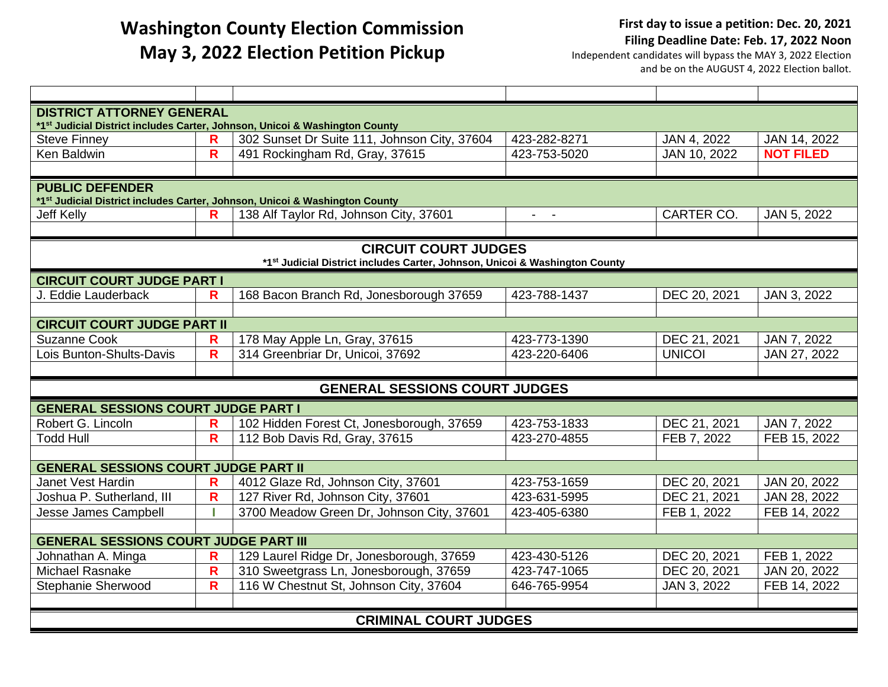| <b>DISTRICT ATTORNEY GENERAL</b><br>*1st Judicial District includes Carter, Johnson, Unicoi & Washington County   |                         |                                              |                |               |                  |  |  |
|-------------------------------------------------------------------------------------------------------------------|-------------------------|----------------------------------------------|----------------|---------------|------------------|--|--|
| <b>Steve Finney</b>                                                                                               | R                       | 302 Sunset Dr Suite 111, Johnson City, 37604 | 423-282-8271   | JAN 4, 2022   | JAN 14, 2022     |  |  |
| Ken Baldwin                                                                                                       | $\mathsf{R}$            | 491 Rockingham Rd, Gray, 37615               | 423-753-5020   | JAN 10, 2022  | <b>NOT FILED</b> |  |  |
|                                                                                                                   |                         |                                              |                |               |                  |  |  |
| <b>PUBLIC DEFENDER</b><br>*1 <sup>st</sup> Judicial District includes Carter, Johnson, Unicoi & Washington County |                         |                                              |                |               |                  |  |  |
| <b>Jeff Kelly</b>                                                                                                 | R                       | 138 Alf Taylor Rd, Johnson City, 37601       | $\sim$ $ \sim$ | CARTER CO.    | JAN 5, 2022      |  |  |
|                                                                                                                   |                         |                                              |                |               |                  |  |  |
| <b>CIRCUIT COURT JUDGES</b><br>*1st Judicial District includes Carter, Johnson, Unicoi & Washington County        |                         |                                              |                |               |                  |  |  |
| <b>CIRCUIT COURT JUDGE PART I</b>                                                                                 |                         |                                              |                |               |                  |  |  |
| J. Eddie Lauderback                                                                                               | R                       | 168 Bacon Branch Rd, Jonesborough 37659      | 423-788-1437   | DEC 20, 2021  | JAN 3, 2022      |  |  |
|                                                                                                                   |                         |                                              |                |               |                  |  |  |
| <b>CIRCUIT COURT JUDGE PART II</b>                                                                                |                         |                                              |                |               |                  |  |  |
| <b>Suzanne Cook</b>                                                                                               | R                       | 178 May Apple Ln, Gray, 37615                | 423-773-1390   | DEC 21, 2021  | JAN 7, 2022      |  |  |
| Lois Bunton-Shults-Davis                                                                                          | $\overline{\mathsf{R}}$ | 314 Greenbriar Dr, Unicoi, 37692             | 423-220-6406   | <b>UNICOI</b> | JAN 27, 2022     |  |  |
|                                                                                                                   |                         |                                              |                |               |                  |  |  |
| <b>GENERAL SESSIONS COURT JUDGES</b>                                                                              |                         |                                              |                |               |                  |  |  |
| <b>GENERAL SESSIONS COURT JUDGE PART I</b>                                                                        |                         |                                              |                |               |                  |  |  |
| Robert G. Lincoln                                                                                                 | R                       | 102 Hidden Forest Ct, Jonesborough, 37659    | 423-753-1833   | DEC 21, 2021  | JAN 7, 2022      |  |  |
| <b>Todd Hull</b>                                                                                                  | R                       | 112 Bob Davis Rd, Gray, 37615                | 423-270-4855   | FEB 7, 2022   | FEB 15, 2022     |  |  |
|                                                                                                                   |                         |                                              |                |               |                  |  |  |
| <b>GENERAL SESSIONS COURT JUDGE PART II</b>                                                                       |                         |                                              |                |               |                  |  |  |
| Janet Vest Hardin                                                                                                 | R                       | 4012 Glaze Rd, Johnson City, 37601           | 423-753-1659   | DEC 20, 2021  | JAN 20, 2022     |  |  |
| Joshua P. Sutherland, III                                                                                         | R                       | 127 River Rd, Johnson City, 37601            | 423-631-5995   | DEC 21, 2021  | JAN 28, 2022     |  |  |
| Jesse James Campbell                                                                                              |                         | 3700 Meadow Green Dr, Johnson City, 37601    | 423-405-6380   | FEB 1, 2022   | FEB 14, 2022     |  |  |
|                                                                                                                   |                         |                                              |                |               |                  |  |  |
| <b>GENERAL SESSIONS COURT JUDGE PART III</b>                                                                      |                         |                                              |                |               |                  |  |  |
| Johnathan A. Minga                                                                                                | R                       | 129 Laurel Ridge Dr, Jonesborough, 37659     | 423-430-5126   | DEC 20, 2021  | FEB 1, 2022      |  |  |
| <b>Michael Rasnake</b>                                                                                            | $\overline{\mathsf{R}}$ | 310 Sweetgrass Ln, Jonesborough, 37659       | 423-747-1065   | DEC 20, 2021  | JAN 20, 2022     |  |  |
| Stephanie Sherwood                                                                                                | $\overline{\mathsf{R}}$ | 116 W Chestnut St, Johnson City, 37604       | 646-765-9954   | JAN 3, 2022   | FEB 14, 2022     |  |  |
|                                                                                                                   |                         |                                              |                |               |                  |  |  |
| <b>CRIMINAL COURT JUDGES</b>                                                                                      |                         |                                              |                |               |                  |  |  |